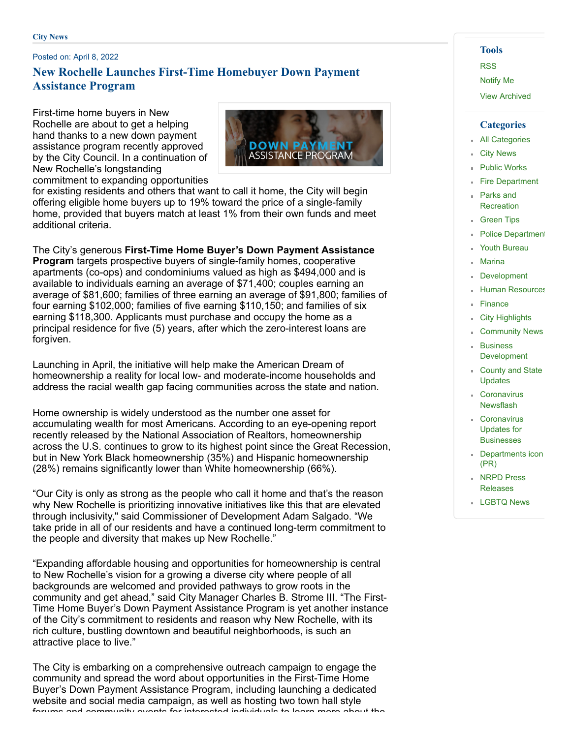#### Posted on: April 8, 2022

# **New Rochelle Launches First-Time Homebuyer Down Payment Assistance Program**

First-time home buyers in New Rochelle are about to get a helping hand thanks to a new down payment assistance program recently approved by the City Council. In a continuation of New Rochelle's longstanding commitment to expanding opportunities



for existing residents and others that want to call it home, the City will begin offering eligible home buyers up to 19% toward the price of a single-family home, provided that buyers match at least 1% from their own funds and meet additional criteria.

The City's generous **First-Time Home Buyer's Down Payment Assistance Program** targets prospective buyers of single-family homes, cooperative apartments (co-ops) and condominiums valued as high as \$494,000 and is available to individuals earning an average of \$71,400; couples earning an average of \$81,600; families of three earning an average of \$91,800; families of four earning \$102,000; families of five earning \$110,150; and families of six earning \$118,300. Applicants must purchase and occupy the home as a principal residence for five (5) years, after which the zero-interest loans are forgiven.

Launching in April, the initiative will help make the American Dream of homeownership a reality for local low- and moderate-income households and address the racial wealth gap facing communities across the state and nation.

Home ownership is widely understood as the number one asset for accumulating wealth for most Americans. According to an eye-opening report recently released by the National Association of Realtors, homeownership across the U.S. continues to grow to its highest point since the Great Recession, but in New York Black homeownership (35%) and Hispanic homeownership (28%) remains significantly lower than White homeownership (66%).

"Our City is only as strong as the people who call it home and that's the reason why New Rochelle is prioritizing innovative initiatives like this that are elevated through inclusivity," said Commissioner of Development Adam Salgado. "We take pride in all of our residents and have a continued long-term commitment to the people and diversity that makes up New Rochelle."

"Expanding affordable housing and opportunities for homeownership is central to New Rochelle's vision for a growing a diverse city where people of all backgrounds are welcomed and provided pathways to grow roots in the community and get ahead," said City Manager Charles B. Strome III. "The First-Time Home Buyer's Down Payment Assistance Program is yet another instance of the City's commitment to residents and reason why New Rochelle, with its rich culture, bustling downtown and beautiful neighborhoods, is such an attractive place to live."

The City is embarking on a comprehensive outreach campaign to engage the community and spread the word about opportunities in the First-Time Home Buyer's Down Payment Assistance Program, including launching a dedicated website and social media campaign, as well as hosting two town hall style forums and community events for interested individuals to learn more about the

### **Tools**

[RSS](https://www.newrochelleny.com/rss.aspx#rssCivicAlerts)

[Notify](https://www.newrochelleny.com/civicalerts.aspx?Mode=Subscribe) Me

View [Archived](https://www.newrochelleny.com/CivicAlerts.aspx?ARC=L&What=2&CC=2&ItemID=2984&From=aid%3d2984%26utm_source%3ddlvr.it%26utm_medium%3dtwitter)

#### **Categories**

- All [Categories](https://www.newrochelleny.com/CivicAlerts.aspx)
- City [News](https://www.newrochelleny.com/CivicAlerts.aspx?CID=1)
- Public [Works](https://www.newrochelleny.com/CivicAlerts.aspx?CID=2)
- **Fire [Department](https://www.newrochelleny.com/CivicAlerts.aspx?CID=3)** Parks and
- **[Recreation](https://www.newrochelleny.com/CivicAlerts.aspx?CID=7)**
- **[Green](https://www.newrochelleny.com/CivicAlerts.aspx?CID=9) Tips**
- [Department](https://www.newrochelleny.com/CivicAlerts.aspx?CID=11)
- Youth [Bureau](https://www.newrochelleny.com/CivicAlerts.aspx?CID=12)
- [Marina](https://www.newrochelleny.com/CivicAlerts.aspx?CID=18)
- [Development](https://www.newrochelleny.com/CivicAlerts.aspx?CID=22)
- **Human [Resources](https://www.newrochelleny.com/CivicAlerts.aspx?CID=23)**
- [Finance](https://www.newrochelleny.com/CivicAlerts.aspx?CID=24)
- **City [Highlights](https://www.newrochelleny.com/CivicAlerts.aspx?CID=34)**
- **[Community](https://www.newrochelleny.com/CivicAlerts.aspx?CID=37) News**
- Business [Development](https://www.newrochelleny.com/CivicAlerts.aspx?CID=38)
- County and State [Updates](https://www.newrochelleny.com/CivicAlerts.aspx?CID=48)
- **[Coronavirus](https://www.newrochelleny.com/CivicAlerts.aspx?CID=49)** Newsflash
- [Coronavirus](https://www.newrochelleny.com/CivicAlerts.aspx?CID=50) Updates for **Businesses**
- **[Departments](https://www.newrochelleny.com/CivicAlerts.aspx?CID=53) icon** (PR)
- **NRPD Press** [Releases](https://www.newrochelleny.com/CivicAlerts.aspx?CID=54)
- **[LGBTQ](https://www.newrochelleny.com/CivicAlerts.aspx?CID=55) News**